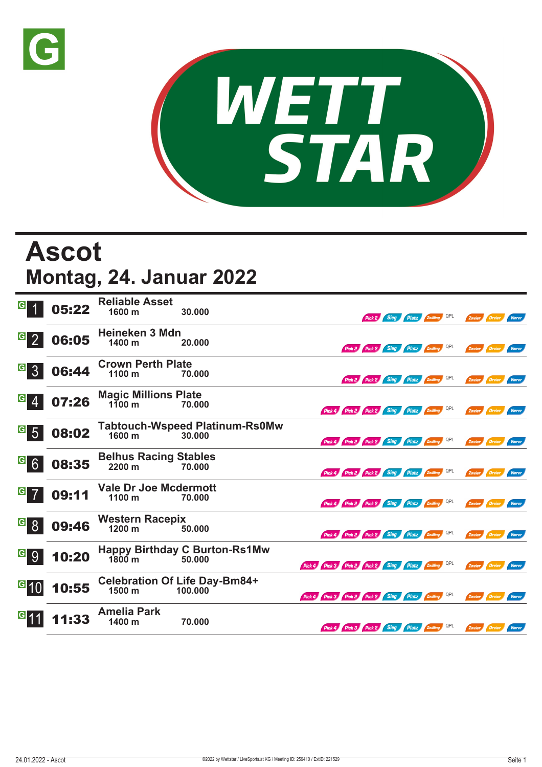



## **Ascot Montag, 24. Januar 2022**

| $\vert G \vert$               | 05:22 | <b>Reliable Asset</b><br>$1600 \text{ m}$         | 30.000                                          |                                                     | Pick 2 Sieg Platz Zwilling QPL |  | Zweier Dreier        |        | <b>Vierer</b> |
|-------------------------------|-------|---------------------------------------------------|-------------------------------------------------|-----------------------------------------------------|--------------------------------|--|----------------------|--------|---------------|
| $\overline{G}$ 2              | 06:05 | Heineken 3 Mdn<br>1400 m                          | 20.000                                          | Pick 2 Pick 2 Sieg Platz Zwilling QPL               |                                |  | Zweier Dreier Vierer |        |               |
| $G_{3}$                       | 06:44 | <b>Crown Perth Plate</b><br>1100 m                | 70.000                                          | Pick 2 Pick 2 Sieg Platz Zwilling QPL               |                                |  | Zweier Dreier Vierer |        |               |
| G <br>$\overline{4}$          | 07:26 | <b>Magic Millions Plate</b><br>$1\bar{1}00$ m     | 70.000                                          | Pick 4 Pick 2 Pick 2 Sieg Platz Zwilling QPL        |                                |  | Zweier Dreier Vierer |        |               |
| $19$ 5                        | 08:02 | 1600 m                                            | <b>Tabtouch-Wspeed Platinum-Rs0Mw</b><br>30,000 | Pick 4 Pick 2 Pick 2 Sieg Platz Zwilling QPL        |                                |  | Zweier Dreier Vierer |        |               |
| G6                            | 08:35 | <b>Belhus Racing Stables</b><br>2200 m            | 70.000                                          | Pick 4 Pick 2 Pick 2 Sieg Platz Ewilling QPL        |                                |  | Zweier Dreier        |        | <b>Vierer</b> |
| $G$ 7                         | 09:11 | <b>Vale Dr Joe Mcdermott</b><br>1100 <sub>m</sub> | 70.000                                          | Pick 4 Pick 2 Pick 2 Sieg Platz Zwilling QPL        |                                |  | Zweier Dreier Vierer |        |               |
| $\overline{G}$ $\overline{8}$ | 09:46 | <b>Western Racepix</b><br>1200 m                  | 50.000                                          | Pick 4 Pick 2 Pick 2 Sieg Platz Zwilling QPL        |                                |  | Zweier Dreier Vierer |        |               |
| G 9                           | 10:20 | $1800 \text{ m}$                                  | <b>Happy Birthday C Burton-Rs1Mw</b><br>50.000  | Pick 4 Pick 3 Pick 2 Pick 2 Sieg Platz Zwilling QPL |                                |  | Zweier Dreier Vierer |        |               |
| $ {}^{\text{G}} 10\rangle$    | 10:55 | 1500 m                                            | <b>Celebration Of Life Day-Bm84+</b><br>100.000 | Pick 4 Pick 3 Pick 2 Pick 2 Sieg Platz Zwilling QPL |                                |  | Zweier Dreier Vierer |        |               |
|                               | 11:33 | <b>Amelia Park</b><br>1400 m                      | 70.000                                          | Pick 4 Pick 3 Pick 2 Sieg Platz Zwilling QPL        |                                |  | Zweier               | Dreier | Vierer        |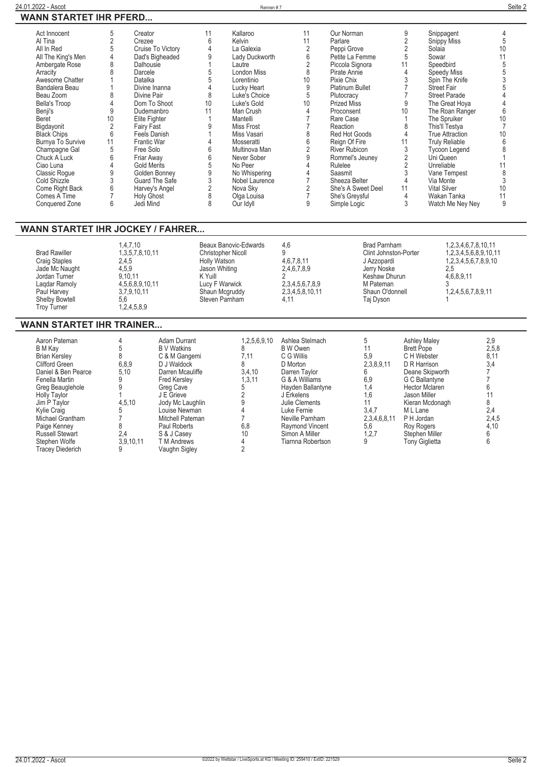|--|--|

| Act Innocent<br>Al Tina<br>All In Red<br>All The King's Men<br>Ambergate Rose<br>Arracity                                                                                                 | 5<br>$\overline{2}$<br>5<br>4<br>8<br>8                      | Creator<br>Crezee<br>Cruise To Victory<br>Dad's Bigheaded<br>Dalhousie<br>Darcele                                                                                   | 11<br>$6\overline{6}$<br>4<br>9<br>5                                                                                        | Kallaroo<br>Kelvin<br>La Galexia<br>Lady Duckworth<br>Lautre<br><b>London Miss</b>                                                              | 11<br>11<br>$\overline{2}$<br>6<br>2<br>8                                                     | Our Norman<br>Parlare<br>Peppi Grove<br>Petite La Femme<br>Piccola Signora<br>Pirate Annie                                                                               | 9<br>$\overline{2}$<br>2<br>5<br>11<br>4                                   | Snippagent<br><b>Snippy Miss</b><br>Solaia<br>Sowar<br>Speedbird<br>Speedy Miss                                                                                                           | 4<br>5<br>10<br>11<br>5                             |
|-------------------------------------------------------------------------------------------------------------------------------------------------------------------------------------------|--------------------------------------------------------------|---------------------------------------------------------------------------------------------------------------------------------------------------------------------|-----------------------------------------------------------------------------------------------------------------------------|-------------------------------------------------------------------------------------------------------------------------------------------------|-----------------------------------------------------------------------------------------------|--------------------------------------------------------------------------------------------------------------------------------------------------------------------------|----------------------------------------------------------------------------|-------------------------------------------------------------------------------------------------------------------------------------------------------------------------------------------|-----------------------------------------------------|
| Awesome Chatter<br>Bandalera Beau<br>Beau Zoom<br><b>Bella's Troop</b><br>Benji's<br>Beret<br>Bigdayonit                                                                                  | 8<br>4<br>9<br>10<br>$\overline{2}$                          | Datalka<br>Divine Inanna<br>Divine Pair<br>Dom To Shoot<br>Dudemanbro<br>Elite Fighter<br><b>Fairy Fast</b>                                                         | 5<br>$\overline{4}$<br>8<br>10<br>11<br>9                                                                                   | Lorentinio<br>Lucky Heart<br>Luke's Choice<br>Luke's Gold<br>Man Crush<br>Mantelli<br>Miss Frost                                                | 10<br>9<br>5<br>10<br>$\overline{4}$                                                          | Pixie Chix<br><b>Platinum Bullet</b><br>Plutocracy<br><b>Prized Miss</b><br>Proconsent<br>Rare Case<br>Reaction                                                          | 3<br>9<br>10<br>8                                                          | Spin The Knife<br><b>Street Fair</b><br><b>Street Parade</b><br>The Great Hoya<br>The Roan Ranger<br>The Spruiker<br>This'll Testya                                                       | 3<br>6<br>10<br>$\overline{7}$                      |
| <b>Black Chips</b><br><b>Burnya To Survive</b><br>Champagne Gal<br>Chuck A Luck<br>Ciao Luna<br>Classic Roque<br>Cold Shizzle<br>Come Right Back<br>Comes A Time<br><b>Conquered Zone</b> | 6<br>11<br>5<br>6<br>4<br>9<br>3<br>6<br>$\overline{7}$<br>6 | Feels Danish<br>Frantic War<br>Free Solo<br>Friar Away<br><b>Gold Merits</b><br>Golden Bonney<br>Guard The Safe<br>Harvey's Angel<br><b>Holy Ghost</b><br>Jedi Mind | 4<br>6<br>6<br>5<br>9<br>3<br>$\frac{2}{8}$<br>8                                                                            | Miss Vasari<br>Mosseratti<br>Multinova Man<br>Never Sober<br>No Peer<br>No Whispering<br>Nobel Laurence<br>Nova Sky<br>Olga Louisa<br>Our Idyll | 8<br>6<br>$\overline{2}$<br>9<br>$\overline{4}$<br>$\overline{7}$<br>2<br>$\overline{7}$<br>9 | Red Hot Goods<br>Reign Of Fire<br><b>River Rubicon</b><br>Rommel's Jeuney<br>Rulelee<br>Saasmit<br>Sheeza Belter<br>She's A Sweet Deel<br>She's Greysful<br>Simple Logic | $\overline{4}$<br>11<br>$\mathfrak{Z}$<br>2<br>2<br>3<br>4<br>11<br>4<br>3 | <b>True Attraction</b><br><b>Truly Reliable</b><br><b>Tycoon Legend</b><br>Uni Queen<br>Unreliable<br>Vane Tempest<br>Via Monte<br><b>Vital Silver</b><br>Wakan Tanka<br>Watch Me Ney Ney | 10<br>6<br>11<br>8<br>3<br>10<br>11<br>$\mathsf{Q}$ |
| WANN STARTET IHR JOCKEY / FAHRER                                                                                                                                                          |                                                              |                                                                                                                                                                     |                                                                                                                             |                                                                                                                                                 |                                                                                               |                                                                                                                                                                          |                                                                            |                                                                                                                                                                                           |                                                     |
| <b>Brad Rawiller</b><br><b>Craig Staples</b><br>Jade Mc Naught<br>Jordan Turner<br>Lagdar Ramoly<br>Paul Harvey<br><b>Shelby Bowtell</b><br><b>Troy Turner</b>                            | 2,4,5<br>4,5,9<br>5.6                                        | 1.4.7.10<br>1,3,5,7,8,10,11<br>9.10.11<br>4,5,6,8,9,10,11<br>3,7,9,10,11<br>1,2,4,5,8,9                                                                             | <b>Christopher Nicoll</b><br>Holly Watson<br>Jason Whiting<br>K Yuill<br>Lucy F Warwick<br>Shaun Mcgruddy<br>Steven Parnham | Beaux Banovic-Edwards                                                                                                                           | 4.6<br>9<br>4,6,7,8,11<br>2,4,6,7,8,9<br>2,3,4,5,6,7,8,9<br>2,3,4,5,8,10,11<br>4.11           | <b>Brad Parnham</b><br><b>Clint Johnston-Porter</b><br>J Azzopardi<br>Jerry Noske<br>Keshaw Dhurun<br>M Pateman<br>Shaun O'donnell<br>Taj Dyson                          |                                                                            | 1,2,3,4,6,7,8,10,11<br>1,2,3,4,5,6,8,9,10,11<br>1,2,3,4,5,6,7,8,9,10<br>2,5<br>4,6,8,9,11<br>1,2,4,5,6,7,8,9,11                                                                           |                                                     |

## **WANN STARTET IHR TRAINER...**

| Aaron Pateman<br>B M Kav<br><b>Brian Kersley</b><br><b>Clifford Green</b><br>Daniel & Ben Pearce<br>Fenella Martin<br>Greg Beauglehole<br><b>Holly Taylor</b><br>Jim P Taylor<br>Kylie Craig<br>Michael Grantham<br>Paige Kenney<br><b>Russell Stewart</b><br>Stephen Wolfe<br>Tracey Diederich | 6,8,9<br>5,10<br>4,5,10<br>2,4<br>3,9,10,11 | Adam Durrant<br><b>B</b> V Watkins<br>C & M Gangemi<br>D J Waldock<br>Darren Mcauliffe<br><b>Fred Kersley</b><br>Grea Cave<br>J E Grieve<br>Jody Mc Laughlin<br>Louise Newman<br>Mitchell Pateman<br>Paul Roberts<br>S & J Casev<br><b>T</b> M Andrews<br>Vaughn Sigley | 1,2,5,6,9,10<br>7.11<br>3,4,10<br>1,3,11<br>6,8<br>10 | Ashlea Stelmach<br>B W Owen<br>C G Willis<br>D Morton<br>Darren Tavlor<br>G & A Williams<br>Hayden Ballantyne<br>J Erkelens<br>Julie Clements<br>Luke Fernie<br>Neville Parnham<br>Raymond Vincent<br>Simon A Miller<br>Tiarnna Robertson | 5,9<br>2,3,8,9,11<br>6,9<br>1.4<br>1.6<br>3,4,7<br>2,3,4,6,8,11<br>5,6<br>1,2,7<br>9 | <b>Ashley Maley</b><br><b>Brett Pope</b><br>C H Webster<br>D R Harrison<br>Deane Skipworth<br>G C Ballantyne<br><b>Hector Mclaren</b><br>Jason Miller<br>Kieran Mcdonagh<br>M L Lane<br>P H Jordan<br>Roy Rogers<br>Stephen Miller<br>Tony Giglietta | 2,9<br>2,5,8<br>8,11<br>3,4<br>2,4<br>2,4,5<br>4,10 |
|-------------------------------------------------------------------------------------------------------------------------------------------------------------------------------------------------------------------------------------------------------------------------------------------------|---------------------------------------------|-------------------------------------------------------------------------------------------------------------------------------------------------------------------------------------------------------------------------------------------------------------------------|-------------------------------------------------------|-------------------------------------------------------------------------------------------------------------------------------------------------------------------------------------------------------------------------------------------|--------------------------------------------------------------------------------------|------------------------------------------------------------------------------------------------------------------------------------------------------------------------------------------------------------------------------------------------------|-----------------------------------------------------|
|-------------------------------------------------------------------------------------------------------------------------------------------------------------------------------------------------------------------------------------------------------------------------------------------------|---------------------------------------------|-------------------------------------------------------------------------------------------------------------------------------------------------------------------------------------------------------------------------------------------------------------------------|-------------------------------------------------------|-------------------------------------------------------------------------------------------------------------------------------------------------------------------------------------------------------------------------------------------|--------------------------------------------------------------------------------------|------------------------------------------------------------------------------------------------------------------------------------------------------------------------------------------------------------------------------------------------------|-----------------------------------------------------|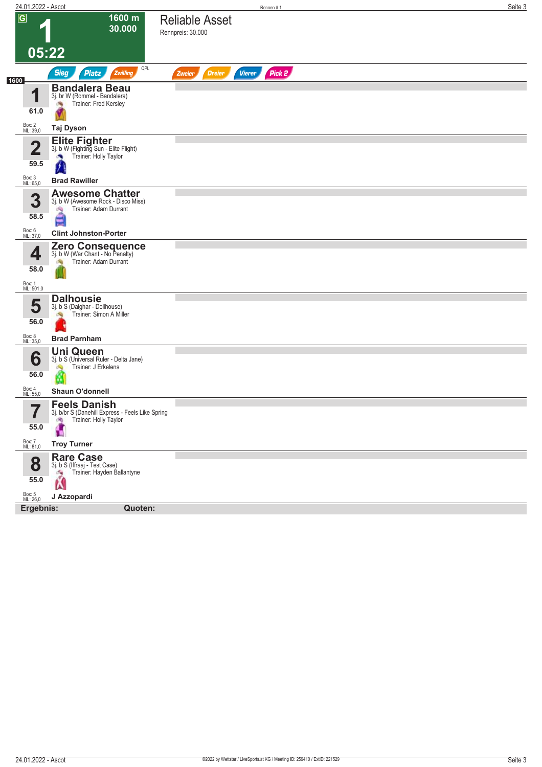| 24.01.2022 - Ascot               |                                                                                                         | Rennen#1                                           | Seite 3 |
|----------------------------------|---------------------------------------------------------------------------------------------------------|----------------------------------------------------|---------|
| $\overline{\mathsf{G}}$          | 1600 m<br>30.000                                                                                        | <b>Reliable Asset</b><br>Rennpreis: 30.000         |         |
|                                  | 05:22                                                                                                   |                                                    |         |
|                                  | QPL<br><b>Sieg</b><br><b>Platz</b><br>Zwilling                                                          | Pick 2<br><b>Dreier</b><br><b>Vierer</b><br>Zweier |         |
| 1600<br>1<br>61.0                | <b>Bandalera Beau</b><br>3j. br W (Rommel - Bandalera)<br>Trainer: Fred Kersley<br>淘                    |                                                    |         |
| Box: 2<br>ML: 39,0               | Taj Dyson                                                                                               |                                                    |         |
| $\overline{\mathbf{2}}$<br>59.5  | Elite Fighter<br>3j. b W (Fighting Sun - Elite Flight)<br>Trainer: Holly Taylor                         |                                                    |         |
| Box: 3<br>ML: 65,0               | <b>Brad Rawiller</b>                                                                                    |                                                    |         |
| 3<br>58.5                        | <b>Awesome Chatter</b><br>3j. b W (Awesome Rock - Disco Miss)<br>Trainer: Adam Durrant<br>沟             |                                                    |         |
| Box: 6<br>ML: 37,0               | <b>Clint Johnston-Porter</b>                                                                            |                                                    |         |
| 4<br>58.0<br>Box: 1<br>ML: 501,0 | Zero Consequence<br>3j. b W (War Chant - No Penalty)<br>Trainer: Adam Durrant                           |                                                    |         |
| 5<br>56.0                        | <b>Dalhousie</b><br>3j. b S (Dalghar - Dollhouse)<br>Trainer: Simon A Miller                            |                                                    |         |
| Box: 8<br>ML: 35,0               | <b>Brad Parnham</b>                                                                                     |                                                    |         |
| 6<br>56.0                        | <b>Uni Queen</b><br>3j. b S (Universal Ruler - Delta Jane)<br>Trainer: J Erkelens<br>d.<br>Ø            |                                                    |         |
| Box: 4<br>ML: 55,0               | <b>Shaun O'donnell</b>                                                                                  |                                                    |         |
| 7<br>I<br>55.0                   | <b>Feels Danish</b><br>3j. b/br S (Danehill Express - Feels Like Spring<br>Trainer: Holly Taylor<br>JR, |                                                    |         |
| Box: 7<br>ML: 81,0               | <b>Troy Turner</b>                                                                                      |                                                    |         |
| 8<br>55.0                        | <b>Rare Case</b><br>3j. b S (Iffraaj - Test Case)<br>Trainer: Hayden Ballantyne<br>侮<br>Ń               |                                                    |         |
| Box: 5<br>ML: 26,0               | J Azzopardi                                                                                             |                                                    |         |
| Ergebnis:                        | Quoten:                                                                                                 |                                                    |         |
|                                  |                                                                                                         |                                                    |         |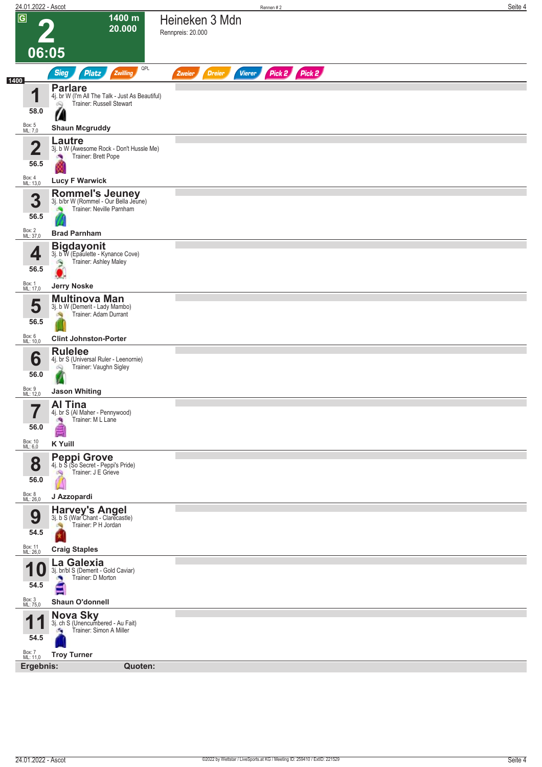| 24.01.2022 - Ascot      |                                                                                   |                   |                                | Rennen#2 |               |  | Seite 4 |
|-------------------------|-----------------------------------------------------------------------------------|-------------------|--------------------------------|----------|---------------|--|---------|
| $\overline{G}$          | 1400 m                                                                            | Heineken 3 Mdn    |                                |          |               |  |         |
|                         | 20.000                                                                            | Rennpreis: 20.000 |                                |          |               |  |         |
|                         |                                                                                   |                   |                                |          |               |  |         |
| 06:05                   |                                                                                   |                   |                                |          |               |  |         |
|                         | QPL<br><b>Sieg</b><br>Zwilling<br><b>Platz</b>                                    | Zweier            | <b>Vierer</b><br><b>Dreier</b> |          | Pick 2 Pick 2 |  |         |
| 1400                    | <b>Parlare</b>                                                                    |                   |                                |          |               |  |         |
| 1                       | 4j. br W (I'm All The Talk - Just As Beautiful)<br>Trainer: Russell Stewart<br>69 |                   |                                |          |               |  |         |
| 58.0                    | Z                                                                                 |                   |                                |          |               |  |         |
| Box: 5<br>ML: 7,0       | <b>Shaun Mcgruddy</b>                                                             |                   |                                |          |               |  |         |
| $\overline{\mathbf{2}}$ | Lautre                                                                            |                   |                                |          |               |  |         |
|                         | 3j. b W (Awesome Rock - Don't Hussle Me)<br>Trainer: Brett Pope<br>×              |                   |                                |          |               |  |         |
| 56.5                    |                                                                                   |                   |                                |          |               |  |         |
| Box: 4<br>ML: 13,0      | <b>Lucy F Warwick</b>                                                             |                   |                                |          |               |  |         |
| 3                       | Rommel's Jeuney<br>3j. b/br W (Rommel - Our Bella Jeune)                          |                   |                                |          |               |  |         |
|                         | Trainer: Neville Parnham                                                          |                   |                                |          |               |  |         |
| 56.5                    |                                                                                   |                   |                                |          |               |  |         |
| Box: 2<br>ML: 37,0      | <b>Brad Parnham</b>                                                               |                   |                                |          |               |  |         |
| 4                       | <b>Bigdayonit</b><br>3j. b W (Epaulette - Kynance Cove)                           |                   |                                |          |               |  |         |
| 56.5                    | Trainer: Ashley Maley<br>్ర                                                       |                   |                                |          |               |  |         |
|                         |                                                                                   |                   |                                |          |               |  |         |
| Box: 1<br>ML: 17,0      | <b>Jerry Noske</b>                                                                |                   |                                |          |               |  |         |
| 5                       | <b>Multinova Man</b><br>3j. b W (Demerit - Lady Mambo)                            |                   |                                |          |               |  |         |
| 56.5                    | Trainer: Adam Durrant<br>dia.                                                     |                   |                                |          |               |  |         |
| Box: 6<br>ML: 10,0      | <b>Clint Johnston-Porter</b>                                                      |                   |                                |          |               |  |         |
|                         | <b>Rulelee</b>                                                                    |                   |                                |          |               |  |         |
| 6                       | 4j. br S (Universal Ruler - Leenornie)<br>Trainer: Vaughn Sigley                  |                   |                                |          |               |  |         |
| 56.0                    | Q                                                                                 |                   |                                |          |               |  |         |
| Box: 9<br>ML: 12,0      | <b>Jason Whiting</b>                                                              |                   |                                |          |               |  |         |
| 7                       | Al Tina                                                                           |                   |                                |          |               |  |         |
|                         | 4j. br S (Al Maher - Pennywood)<br>Trainer: M L Lane<br><b>SP</b>                 |                   |                                |          |               |  |         |
| 56.0                    |                                                                                   |                   |                                |          |               |  |         |
| Box: 10<br>ML: 6,0      | <b>K</b> Yuill                                                                    |                   |                                |          |               |  |         |
|                         | <b>Peppi Grove</b><br>4j. b S (So Secret - Peppi's Pride)                         |                   |                                |          |               |  |         |
| 8                       | Trainer: J E Grieve<br>$\mathcal{P}(\mathcal{P})$                                 |                   |                                |          |               |  |         |
| 56.0                    |                                                                                   |                   |                                |          |               |  |         |
| Box: 8<br>ML: 26,0      | J Azzopardi                                                                       |                   |                                |          |               |  |         |
| 9                       | Harvey's Angel<br>3j. b S (War Chant - Clarecastle)                               |                   |                                |          |               |  |         |
|                         | Trainer: P H Jordan                                                               |                   |                                |          |               |  |         |
| 54.5                    |                                                                                   |                   |                                |          |               |  |         |
| Box: 11<br>ML: 26,0     | <b>Craig Staples</b>                                                              |                   |                                |          |               |  |         |
| и                       | La Galexia<br>3j. br/bl S (Demerit - Gold Caviar)                                 |                   |                                |          |               |  |         |
| 54.5                    | Trainer: D Morton                                                                 |                   |                                |          |               |  |         |
|                         |                                                                                   |                   |                                |          |               |  |         |
| Box: 3<br>ML: 75,0      | Shaun O'donnell                                                                   |                   |                                |          |               |  |         |
| и                       | Nova Sky<br>3j. ch S (Unencumbered - Au Fait)                                     |                   |                                |          |               |  |         |
| 54.5                    | Trainer: Simon A Miller<br>бQ.                                                    |                   |                                |          |               |  |         |
| Box: 7<br>ML: 11,0      | <b>Troy Turner</b>                                                                |                   |                                |          |               |  |         |
| Ergebnis:               | Quoten:                                                                           |                   |                                |          |               |  |         |
|                         |                                                                                   |                   |                                |          |               |  |         |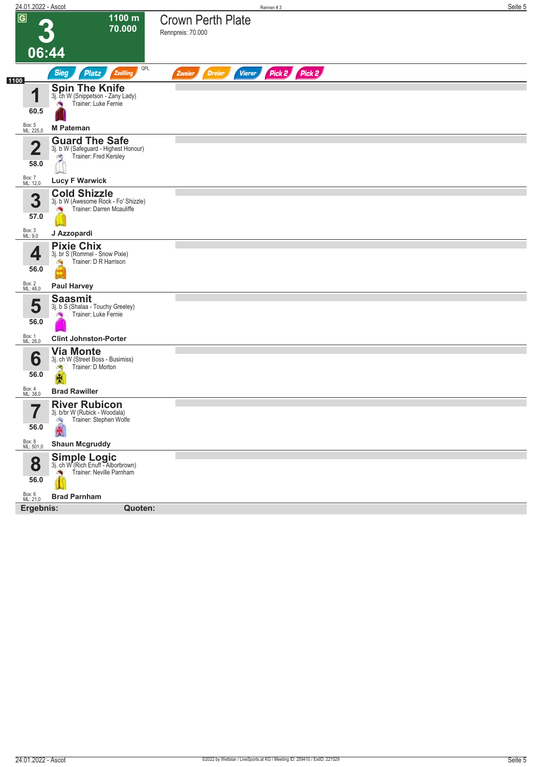| 24.01.2022 - Ascot                                                                                             |                                                                   |                                          | Rennen #3     | Seite 5 |
|----------------------------------------------------------------------------------------------------------------|-------------------------------------------------------------------|------------------------------------------|---------------|---------|
| $\overline{G}$<br>06:44                                                                                        | 1100 m<br>70.000<br>Rennpreis: 70.000                             | <b>Crown Perth Plate</b>                 |               |         |
| <b>Sieg</b><br>Platz                                                                                           | QPL<br>Zwilling                                                   | <b>Vierer</b><br><b>Dreier</b><br>Zweier | Pick 2 Pick 2 |         |
| 1100<br><b>Spin The Knife</b><br>4<br>3j. ch W (Snippetson - Zany Lady)<br>60.5                                | Trainer: Luke Fernie                                              |                                          |               |         |
| Box: 5<br>ML: 225,0<br><b>M Pateman</b>                                                                        |                                                                   |                                          |               |         |
| <b>Guard The Safe</b><br>$\overline{\mathbf{2}}$<br>оò,<br>58.0<br>Box: 7<br>ML: 12,0<br><b>Lucy F Warwick</b> | 3j. b W (Safeguard - Highest Honour)<br>Trainer: Fred Kersley     |                                          |               |         |
| <b>Cold Shizzle</b><br>3<br>57.0                                                                               | 3j. b W (Awesome Rock - Fo' Shizzle)<br>Trainer: Darren Mcauliffe |                                          |               |         |
| Box: 3<br>ML: 9,0<br>J Azzopardi                                                                               |                                                                   |                                          |               |         |
| <b>Pixie Chix</b><br>3j. br S (Rommel - Snow Pixie)<br>4<br>56.0                                               | Trainer: D R Harrison                                             |                                          |               |         |
| Box: 2<br>ML: 48,0<br><b>Paul Harvey</b>                                                                       |                                                                   |                                          |               |         |
| <b>Saasmit</b><br>5<br>3j. b S (Shalaa - Touchy Greeley)<br>Trainer: Luke Fernie<br><b>Sep</b><br>56.0         |                                                                   |                                          |               |         |
| Box: 1<br>ML: 26,0<br><b>Clint Johnston-Porter</b>                                                             |                                                                   |                                          |               |         |
| <b>Via Monte</b><br>6<br>3j. ch W (Street Boss - Busimiss)<br>Trainer: D Morton<br>đ.<br>56.0                  |                                                                   |                                          |               |         |
| Box: 4<br>ML: 38,0<br><b>Brad Rawiller</b>                                                                     |                                                                   |                                          |               |         |
| <b>River Rubicon</b><br>7<br>3j. b/br W (Rubick - Woodala)<br>I<br>-A)<br>56.0                                 | Trainer: Stephen Wolfe                                            |                                          |               |         |
| Box: 8<br>ML: 501,0<br><b>Shaun Mcgruddy</b>                                                                   |                                                                   |                                          |               |         |
| Simple Logic<br>3j. ch W (Rich Enuff - Alborbrown)<br>8<br>56.0                                                | Trainer: Neville Parnham                                          |                                          |               |         |
| Box: 6<br>ML: 21,0<br><b>Brad Parnham</b>                                                                      |                                                                   |                                          |               |         |
| Ergebnis:                                                                                                      | Quoten:                                                           |                                          |               |         |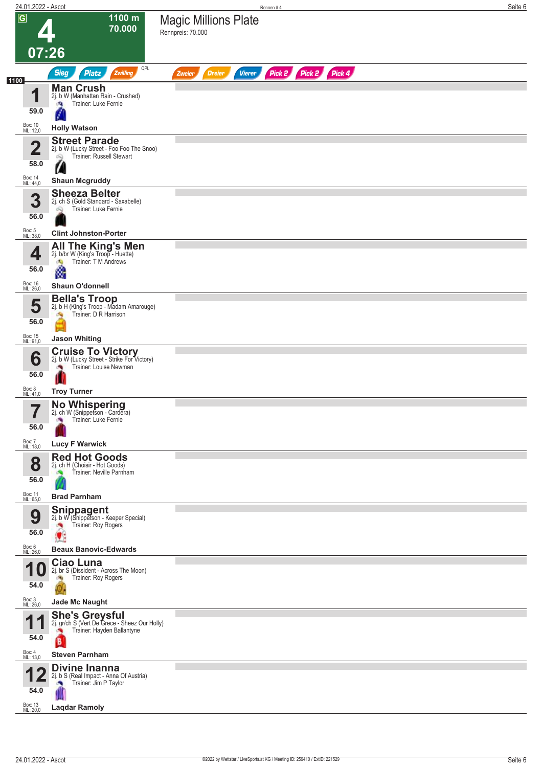|                | 24.01.2022 - Ascot          |                                                                                                                     | Seite 6<br>Rennen#4                                              |
|----------------|-----------------------------|---------------------------------------------------------------------------------------------------------------------|------------------------------------------------------------------|
| $\overline{G}$ | 07:26                       | 1100 m<br>70.000                                                                                                    | <b>Magic Millions Plate</b><br>Rennpreis: 70.000                 |
|                |                             | QPL                                                                                                                 |                                                                  |
| 1100           |                             | <b>Sieg</b><br><b>Platz</b><br>Zwilling                                                                             | Pick 2 Pick 2 Pick 4<br><b>Vierer</b><br><b>Dreier</b><br>Zweier |
|                | И<br>59.0                   | <b>Man Crush</b><br>2j. b W (Manhattan Rain - Crushed)<br>Trainer: Luke Fernie<br>гQ.                               |                                                                  |
|                | Box: 10<br>ML: 12,0         | <b>Holly Watson</b>                                                                                                 |                                                                  |
|                | $\overline{\mathbf{2}}$     | <b>Street Parade</b><br>2j. b W (Lucky Street - Foo Foo The Snoo)<br>Trainer: Russell Stewart<br>Q                  |                                                                  |
|                | 58.0                        |                                                                                                                     |                                                                  |
|                | Box: 14<br>ML: 44,0         | <b>Shaun Mcgruddy</b>                                                                                               |                                                                  |
|                | 3<br>56.0                   | <b>Sheeza Belter</b><br>2j. ch S (Gold Standard - Saxabelle)<br>Trainer: Luke Fernie                                |                                                                  |
|                | Box: 5<br>ML: 38,0          | <b>Clint Johnston-Porter</b>                                                                                        |                                                                  |
|                | 4<br>56.0                   | All The King's Men<br>2j. b/br W (King's Troop - Huette)<br>Trainer: T M Andrews<br>$\mathcal{A}_{\mathbf{Q}}$<br>٨ |                                                                  |
|                | Box: 16                     | <b>Shaun O'donnell</b>                                                                                              |                                                                  |
|                | ML: 26,0                    |                                                                                                                     |                                                                  |
|                | 5<br>56.0                   | <b>Bella's Troop</b><br>2j. b H (King's Troop - Madam Amarouge)<br>Trainer: D R Harrison                            |                                                                  |
|                | Box: 15<br>ML: 91,0         | <b>Jason Whiting</b>                                                                                                |                                                                  |
|                | 6<br>56.0                   | <b>Cruise To Victory</b><br>2j. b W (Lucky Street - Strike For Victory)<br>Trainer: Louise Newman                   |                                                                  |
|                | Box: 8<br>ML: 41,0          | <b>Troy Turner</b>                                                                                                  |                                                                  |
|                |                             |                                                                                                                     |                                                                  |
|                | 7<br>$\blacksquare$<br>56.0 | No Whispering<br>2j. ch W (Snippetson - Cardera)<br>Trainer: Luke Fernie                                            |                                                                  |
|                | Box: 7<br>ML: 18,0          | <b>Lucy F Warwick</b>                                                                                               |                                                                  |
|                | 8<br>56.0                   | <b>Red Hot Goods</b><br>2j. ch H (Choisir - Hot Goods)<br>Trainer: Neville Parnham                                  |                                                                  |
|                | Box: 11<br>ML: 65,0         | <b>Brad Parnham</b>                                                                                                 |                                                                  |
|                | 9<br>56.0                   | <b>Snippagent</b><br>2j. b W (Snippetson - Keeper Special)<br>Trainer: Roy Rogers                                   |                                                                  |
|                | Box: 6<br>ML: 26,0          | <b>Beaux Banovic-Edwards</b>                                                                                        |                                                                  |
|                | И<br>54.0                   | Ciao Luna<br>2j. br S (Dissident - Across The Moon)<br>Trainer: Roy Rogers<br>ंच                                    |                                                                  |
|                |                             |                                                                                                                     |                                                                  |
|                | Box: 3<br>ML: 26,0          | <b>Jade Mc Naught</b>                                                                                               |                                                                  |
|                | и<br>54.0                   | She's Greysful<br>2j. gr/ch S (Vert De Grece - Sheez Our Holly)<br>Trainer: Hayden Ballantyne<br>B                  |                                                                  |
|                | Box: 4<br>ML: 13,0          | <b>Steven Parnham</b>                                                                                               |                                                                  |
|                | И<br>54.0                   | Divine Inanna<br>2j. b S (Real Impact - Anna Of Austria)<br>Trainer: Jim P Taylor                                   |                                                                  |
|                | Box: 13<br>ML: 20,0         | <b>Laqdar Ramoly</b>                                                                                                |                                                                  |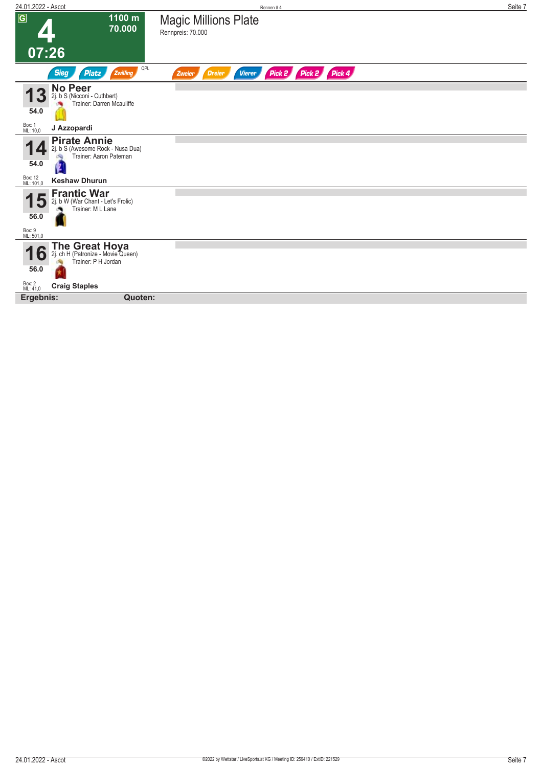| $\overline{G}$<br>1100 m<br><b>Magic Millions Plate</b><br>70.000                                                  |  |
|--------------------------------------------------------------------------------------------------------------------|--|
| Rennpreis: 70.000                                                                                                  |  |
| 07:26                                                                                                              |  |
| QPL<br>Zwilling<br>Pick 2 Pick 2 Pick 4<br><b>Sieg</b><br><b>Platz</b><br><b>Vierer</b><br>Zweier<br><b>Dreier</b> |  |
| <b>No Peer</b><br>2j. b S (Nicconi - Cuthbert)<br>Trainer: Darren Mcauliffe<br>54.0                                |  |
| Box: 1<br>ML: 10,0<br>J Azzopardi                                                                                  |  |
| <b>Pirate Annie</b><br>2j. b S (Awesome Rock - Nusa Dua)<br>Trainer: Aaron Pateman<br>54.0                         |  |
| Box: 12<br>ML: 101,0<br><b>Keshaw Dhurun</b>                                                                       |  |
| <b>Frantic War</b><br>2j. b W (War Chant - Let's Frolic)<br>Trainer: M L Lane<br>56.0<br>Box: 9<br>ML: 501,0       |  |
|                                                                                                                    |  |
| The Great Hoya<br>2j. ch H (Patronize - Movie Queen)<br>O<br>Trainer: P H Jordan<br>56.0                           |  |
| Box: 2<br>ML: 41,0<br><b>Craig Staples</b>                                                                         |  |
| Quoten:<br>Ergebnis:                                                                                               |  |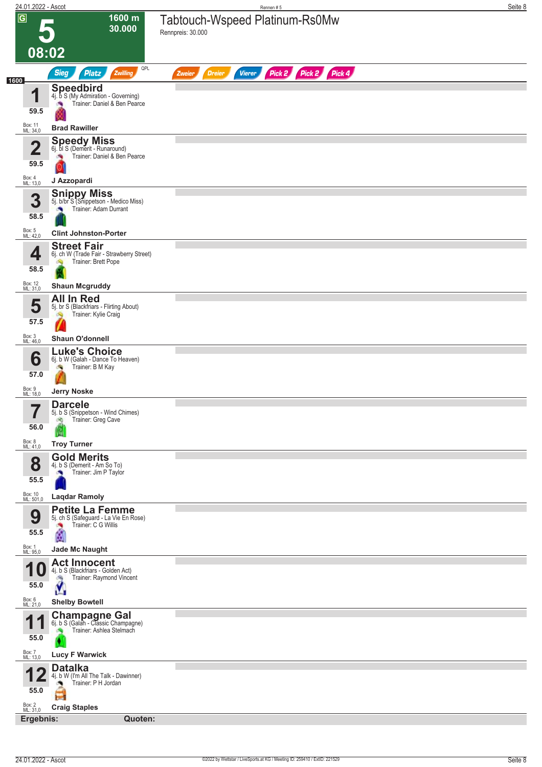| 24.01.2022 - Ascot         |                                                                                             | Rennen#5                                                         | Seite 8 |
|----------------------------|---------------------------------------------------------------------------------------------|------------------------------------------------------------------|---------|
| $\overline{G}$             | 1600 m<br>30.000                                                                            | Tabtouch-Wspeed Platinum-Rs0Mw<br>Rennpreis: 30.000              |         |
| 08:02                      |                                                                                             |                                                                  |         |
|                            | QPL<br><b>Sieg</b><br><b>Platz</b><br>Zwilling                                              | Pick 2 Pick 2 Pick 4<br><b>Dreier</b><br><b>Vierer</b><br>Zweier |         |
| 1600<br>1                  | <b>Speedbird</b><br>4j. b S (My Admiration - Governing)                                     |                                                                  |         |
| 59.5                       | Trainer: Daniel & Ben Pearce                                                                |                                                                  |         |
| Box: 11<br>ML: 34,0        | <b>Brad Rawiller</b>                                                                        |                                                                  |         |
| $\overline{\mathbf{2}}$    | Speedy Miss<br>6j. bl S (Demerit - Runaround)<br>Trainer: Daniel & Ben Pearce<br><b>CRI</b> |                                                                  |         |
| 59.5                       |                                                                                             |                                                                  |         |
| Box: 4<br>ML: 13,0         | J Azzopardi                                                                                 |                                                                  |         |
| 3                          | <b>Snippy Miss</b><br>5j. b/br S (Snippetson - Medico Miss)<br>Trainer: Adam Durrant        |                                                                  |         |
| 58.5<br>Box: 5<br>ML: 42,0 | <b>Clint Johnston-Porter</b>                                                                |                                                                  |         |
|                            | <b>Street Fair</b>                                                                          |                                                                  |         |
| 4<br>58.5                  | 6j. ch W (Trade Fair - Strawberry Street)<br>Trainer: Brett Pope<br>d.                      |                                                                  |         |
| Box: 12<br>ML: 31,0        | <b>Shaun Mcgruddy</b>                                                                       |                                                                  |         |
| 5                          | <b>All In Red</b><br>5j. br S (Blackfriars - Flirting About)                                |                                                                  |         |
| 57.5                       | Trainer: Kylie Craig                                                                        |                                                                  |         |
| Box: 3<br>ML: 46,0         | Shaun O'donnell                                                                             |                                                                  |         |
| 6                          | <b>Luke's Choice</b><br>6j. b W (Galah - Dance To Heaven)<br>Trainer: B M Kay<br>S.         |                                                                  |         |
| 57.0                       |                                                                                             |                                                                  |         |
| Box: 9<br>ML: 18,0<br>7    | <b>Jerry Noske</b><br><b>Darcele</b>                                                        |                                                                  |         |
| $\blacksquare$<br>56.0     | 5j. b S (Snippetson - Wind Chimes)<br>Trainer: Greg Cave<br>d.                              |                                                                  |         |
| Box: 8<br>ML: 41,0         | <b>Troy Turner</b>                                                                          |                                                                  |         |
| 8                          | <b>Gold Merits</b><br>4j. b S (Demerit - Am So To)                                          |                                                                  |         |
| 55.5                       | Trainer: Jim P Taylor                                                                       |                                                                  |         |
| Box: 10<br>ML: 501,0       | <b>Laqdar Ramoly</b>                                                                        |                                                                  |         |
| 9                          | <b>Petite La Femme</b><br>5j. ch S (Safeguard - La Vie En Rose)<br>Trainer: C G Willis      |                                                                  |         |
| 55.5                       | å                                                                                           |                                                                  |         |
| Box: 1<br>ML: 95,0         | Jade Mc Naught<br><b>Act Innocent</b>                                                       |                                                                  |         |
|                            | 4j. b S (Blackfriars - Golden Act)<br>Trainer: Raymond Vincent<br>熵                         |                                                                  |         |
| 55.0<br>Box: 6<br>ML: 21,0 | <b>Shelby Bowtell</b>                                                                       |                                                                  |         |
| и                          | <b>Champagne Gal</b> 6j. b S (Galah - Classic Champagne)                                    |                                                                  |         |
| 55.0                       | Trainer: Ashlea Stelmach                                                                    |                                                                  |         |
| Box: 7<br>ML: 13,0         | <b>Lucy F Warwick</b>                                                                       |                                                                  |         |
|                            | <b>Datalka</b><br>4j. b W (I'm All The Talk - Dawinner)                                     |                                                                  |         |
| 55.0                       | Trainer: P H Jordan                                                                         |                                                                  |         |
| Box: 2<br>ML: 31,0         | <b>Craig Staples</b>                                                                        |                                                                  |         |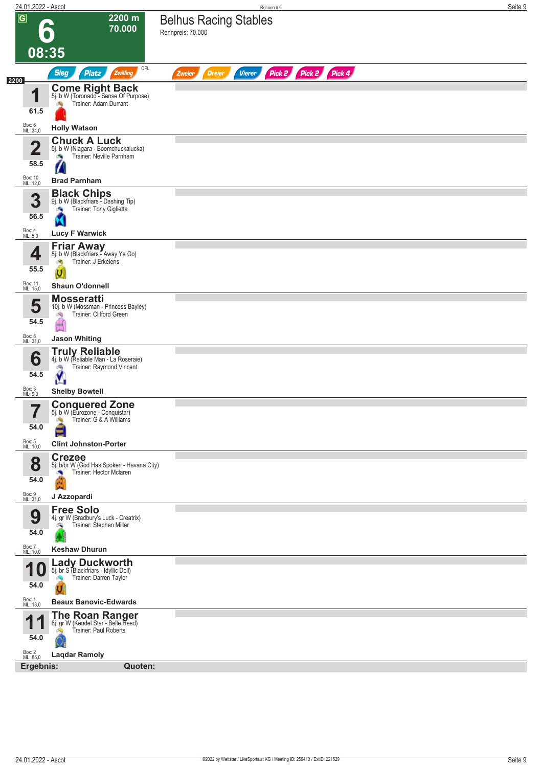| 24.01.2022 - Ascot                    |                                                                                                             | Rennen #6                                                        | Seite 9 |
|---------------------------------------|-------------------------------------------------------------------------------------------------------------|------------------------------------------------------------------|---------|
| $\overline{G}$                        | 2200 m<br>70.000                                                                                            | <b>Belhus Racing Stables</b><br>Rennpreis: 70.000                |         |
| 08:35                                 |                                                                                                             |                                                                  |         |
| 2200                                  | QPL<br><b>Sieg</b><br>Platz<br>Zwilling                                                                     | Pick 2 Pick 2 Pick 4<br><b>Vierer</b><br><b>Dreier</b><br>Zweier |         |
| 1<br>61.5                             | <b>Come Right Back</b><br>5j. b W (Toronado - Sense Of Purpose)<br>Trainer: Adam Durrant                    |                                                                  |         |
| Box: 6<br>ML: 34,0                    | <b>Holly Watson</b>                                                                                         |                                                                  |         |
| $\mathbf{2}$<br>58.5                  | <b>Chuck A Luck</b><br>5j. b W (Niagara - Boomchuckalucka)<br>Trainer: Neville Parnham<br>o e               |                                                                  |         |
| Box: 10<br>ML: 12,0                   | <b>Brad Parnham</b>                                                                                         |                                                                  |         |
| 3<br>56.5                             | <b>Black Chips</b><br>9j. b W (Blackfriars - Dashing Tip)<br>Trainer: Tony Giglietta                        |                                                                  |         |
| Box: 4<br>ML: 5,0                     | <b>Lucy F Warwick</b>                                                                                       |                                                                  |         |
| 4<br>55.5                             | <b>Friar Away</b><br>8j. b W (Blackfriars - Away Ye Go)<br>Trainer: J Erkelens<br>z,<br>U                   |                                                                  |         |
| Box: 11<br>ML: 15,0                   | <b>Shaun O'donnell</b>                                                                                      |                                                                  |         |
| 5<br>54.5                             | <b>Mosseratti</b><br>10j. b W (Mossman - Princess Bayley)<br>Trainer: Clifford Green<br>询<br>$\blacksquare$ |                                                                  |         |
| Box: 8<br>ML: 31,0                    | <b>Jason Whiting</b>                                                                                        |                                                                  |         |
| 6<br>54.5                             | <b>Truly Reliable</b><br>4j. b W (Reliable Man - La Roseraie)<br>Trainer: Raymond Vincent<br>ŷ              |                                                                  |         |
| Box: 3<br>ML: 9,0                     | <b>Shelby Bowtell</b>                                                                                       |                                                                  |         |
| $\overline{\phantom{a}}$<br>I<br>54.0 | <b>Conquered Zone</b><br>5j. b W (Eurozone - Conquistar)<br>Trainer: G & A Williams                         |                                                                  |         |
| Box: 5<br>ML: 10,0                    | <b>Clint Johnston-Porter</b><br><b>Crezee</b>                                                               |                                                                  |         |
| 8<br>54.0                             | 5j. b/br W (God Has Spoken - Havana City)<br>Trainer: Hector Mclaren                                        |                                                                  |         |
| Box: 9<br>ML: 31,0                    | J Azzopardi                                                                                                 |                                                                  |         |
| 9<br>54.0                             | <b>Free Solo</b><br>4j. gr W (Bradbury's Luck - Creatrix)<br>Trainer: Stephen Miller<br>ंग्रे               |                                                                  |         |
| Box: 7<br>ML: 10,0                    | <b>Keshaw Dhurun</b>                                                                                        |                                                                  |         |
| И<br>10<br>54.0                       | <b>Lady Duckworth</b><br>5j. br S (Blackfriars - Idyllic Doll)<br>Trainer: Darren Taylor                    |                                                                  |         |
| Box: 1<br>ML: 13,0                    | <b>Beaux Banovic-Edwards</b>                                                                                |                                                                  |         |
| И<br>И<br>54.0                        | The Roan Ranger<br>6j. gr W (Kendel Star - Belle Heed)<br>Trainer: Paul Roberts                             |                                                                  |         |
| Box: 2<br>ML: 85,0                    | <b>Laqdar Ramoly</b>                                                                                        |                                                                  |         |
| Ergebnis:                             | Quoten:                                                                                                     |                                                                  |         |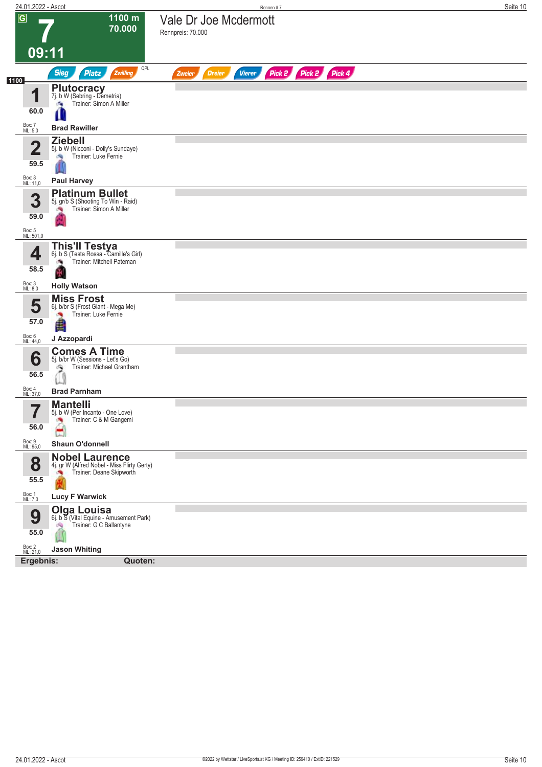| 24.01.2022 - Ascot              |                                                                                                    | Rennen #7                                                        | Seite 10 |
|---------------------------------|----------------------------------------------------------------------------------------------------|------------------------------------------------------------------|----------|
| $\overline{G}$                  | 1100 m<br>70.000                                                                                   | Vale Dr Joe Mcdermott<br>Rennpreis: 70.000                       |          |
|                                 | 09:11                                                                                              |                                                                  |          |
| 1100                            | QPL<br><b>Sieg</b><br><b>Platz</b><br>Zwilling                                                     | Pick 2 Pick 2 Pick 4<br><b>Dreier</b><br><b>Vierer</b><br>Zweier |          |
| 1<br>60.0                       | <b>Plutocracy</b><br>7j. b W (Sebring - Demetria)<br>Trainer: Simon A Miller<br>×,<br>Ш            |                                                                  |          |
| Box: 7<br>ML: 5,0               | <b>Brad Rawiller</b>                                                                               |                                                                  |          |
| 40<br>59.5                      | <b>Ziebell</b><br>5j. b W (Nicconi - Dolly's Sundaye)<br>Trainer: Luke Fernie<br>- Sig             |                                                                  |          |
| Box: 8<br>ML: 11,0              | <b>Paul Harvey</b>                                                                                 |                                                                  |          |
| 3<br>59.0                       | <b>Platinum Bullet</b><br>5j. gr/b S (Shooting To Win - Raid)<br>Trainer: Simon A Miller<br>澚      |                                                                  |          |
| Box: 5<br>ML: 501,0             |                                                                                                    |                                                                  |          |
| 4<br>58.5                       | <b>This'll Testya</b><br>6j. b S (Testa Rossa - Camille's Girl)<br>Trainer: Mitchell Pateman<br>a. |                                                                  |          |
| Box: 3<br>ML: 8,0               | <b>Holly Watson</b>                                                                                |                                                                  |          |
| 5<br>57.0<br>Box: 6<br>ML: 44,0 | <b>Miss Frost</b><br>6j. b/br S (Frost Giant - Mega Me)<br>Trainer: Luke Fernie<br>J Azzopardi     |                                                                  |          |
| 6<br>56.5                       | <b>Comes A Time</b><br>5j. b/br W (Sessions - Let's Go)<br>Trainer: Michael Grantham<br>్త         |                                                                  |          |
| Box: 4<br>ML: 37,0              | <b>Brad Parnham</b>                                                                                |                                                                  |          |
| 7<br>I<br>56.0                  | <b>Mantelli</b><br>5j. b W (Per Incanto - One Love)<br>Trainer: C & M Gangemi<br>×,                |                                                                  |          |
| Box: 9<br>ML: 95,0              | <b>Shaun O'donnell</b>                                                                             |                                                                  |          |
| 8<br>55.5                       | <b>Nobel Laurence</b><br>4j. gr W (Alfred Nobel - Miss Flirty Gerty)<br>Trainer: Deane Skipworth   |                                                                  |          |
| Box: 1<br>ML: 7,0               | <b>Lucy F Warwick</b>                                                                              |                                                                  |          |
| 9<br>55.0                       | <b>Olga Louisa</b><br>6j. b S (Vital Equine - Amusement Park)<br>Trainer: G C Ballantyne<br>d.     |                                                                  |          |
| Box: 2<br>ML: 21,0              | <b>Jason Whiting</b>                                                                               |                                                                  |          |
| Ergebnis:                       | Quoten:                                                                                            |                                                                  |          |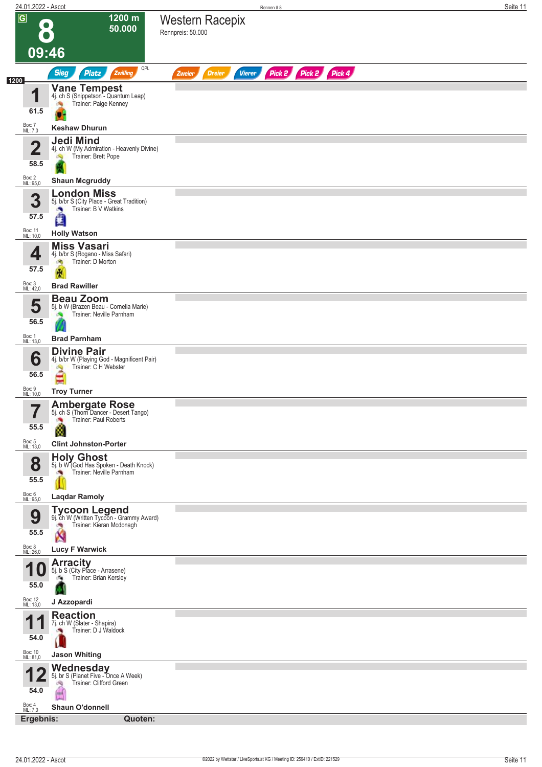| 24.01.2022 - Ascot             |                                                                                                   | Rennen#8                                                         | Seite 11 |
|--------------------------------|---------------------------------------------------------------------------------------------------|------------------------------------------------------------------|----------|
| $\overline{G}$                 | 1200 m<br>$\bullet$<br>50.000                                                                     | <b>Western Racepix</b><br>Rennpreis: 50.000                      |          |
|                                | 09:46                                                                                             |                                                                  |          |
| 1200                           | QPL<br><b>Sieg</b><br><b>Platz</b><br>Zwilling                                                    | Pick 2 Pick 2 Pick 4<br><b>Vierer</b><br><b>Dreier</b><br>Zweier |          |
| И                              | <b>Vane Tempest</b><br>4j. ch S (Snippetson"- Quantum Leap)                                       |                                                                  |          |
| 61.5                           | Trainer: Paige Kenney                                                                             |                                                                  |          |
| Box: 7<br>ML: 7,0              | <b>Keshaw Dhurun</b>                                                                              |                                                                  |          |
| $\overline{\mathbf{2}}$        | <b>Jedi Mind</b><br>4j. ch W (My Admiration - Heavenly Divine)<br>Trainer: Brett Pope<br>ó.       |                                                                  |          |
| 58.5<br>Box: 2<br>ML: 95,0     | <b>Shaun Mcgruddy</b>                                                                             |                                                                  |          |
| 3                              | <b>London Miss</b><br>5j. b/br S (City Place - Great Tradition)                                   |                                                                  |          |
| 57.5                           | Trainer: B V Watkins<br>×<br>đ                                                                    |                                                                  |          |
| Box: 11<br>ML: 10,0            | <b>Holly Watson</b>                                                                               |                                                                  |          |
| 4                              | <b>Miss Vasari</b><br>4j. b/br S (Rogano - Miss Safari)<br>Trainer: D Morton<br>đ.                |                                                                  |          |
| 57.5<br>Box: 3<br>ML: 42,0     | 廣<br><b>Brad Rawiller</b>                                                                         |                                                                  |          |
|                                | <b>Beau Zoom</b>                                                                                  |                                                                  |          |
| 5<br>56.5                      | 5j. b W (Brazen Beau - Cornelia Marie)<br>Trainer: Neville Parnham                                |                                                                  |          |
| Box: 1<br>ML: 13,0             | <b>Brad Parnham</b>                                                                               |                                                                  |          |
| 6<br>56.5                      | <b>Divine Pair</b><br>4j. b/br W (Playing God - Magnificent Pair)<br>Trainer: C H Webster         |                                                                  |          |
| Box: 9<br>ML: 10,0             | <b>Troy Turner</b>                                                                                |                                                                  |          |
| 7<br>$\blacksquare$<br>55.5    | <b>Ambergate Rose</b><br>5j. ch S (Thom Dancer - Desert Tango)<br>Trainer: Paul Roberts<br>Ø.     |                                                                  |          |
| Box: 5<br>ML: 13,0             | <b>Clint Johnston-Porter</b>                                                                      |                                                                  |          |
| 8<br>55.5                      | Holy Ghost<br>5j. b W (God Has Spoken - Death Knock)<br>Trainer: Neville Parnham                  |                                                                  |          |
| Box: 6<br>ML: 95,0             | <b>Laqdar Ramoly</b>                                                                              |                                                                  |          |
| 9<br>55.5                      | <b>Tycoon Legend</b><br>9j. ch W (Written Tycoon - Grammy Award)<br>Trainer: Kieran Mcdonagh<br>X |                                                                  |          |
| Box: 8<br>ML: 26,0             | <b>Lucy F Warwick</b>                                                                             |                                                                  |          |
| 4<br>55.0                      | <b>Arracity</b><br>5j. b S (City Place - Arrasene)<br>Trainer: Brian Kersley<br>e i               |                                                                  |          |
| Box: 12<br>ML: 13,0            | J Azzopardi                                                                                       |                                                                  |          |
| И<br>54.0                      | <b>Reaction</b><br>7j. ch W (Slater - Shapira)<br>Trainer: D J Waldock                            |                                                                  |          |
| Box: 10<br>ML: 81,0            | <b>Jason Whiting</b>                                                                              |                                                                  |          |
| 54.0                           | <b>Wednesday</b><br>5j. br S (Planet Five - Once A Week)<br>Trainer: Clifford Green               |                                                                  |          |
| Box: 4<br>ML: 7,0<br>Ergebnis: | <b>Shaun O'donnell</b><br>Quoten:                                                                 |                                                                  |          |
|                                |                                                                                                   |                                                                  |          |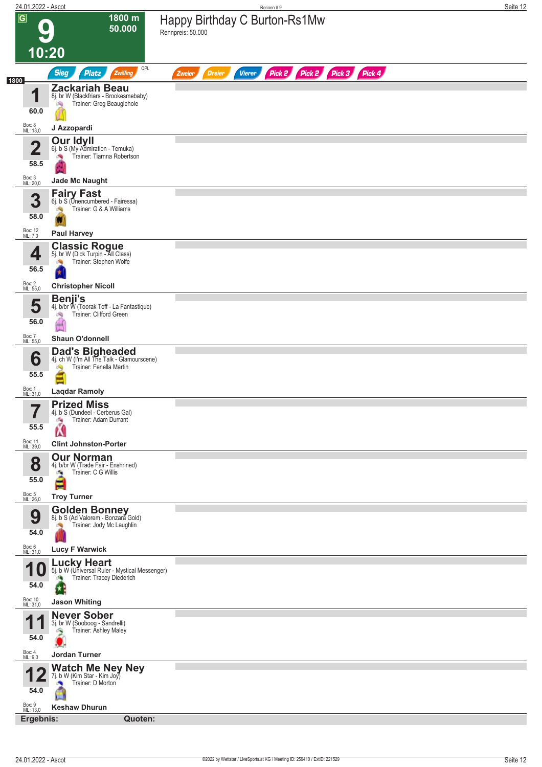| $\overline{G}$<br>1800 m<br>Happy Birthday C Burton-Rs1Mw<br>50.000<br>Rennpreis: 50.000<br>10:20<br>QPL<br>Pick 2 Pick 2 Pick 3 Pick 4<br><b>Sieg</b><br><b>Platz</b><br>Zwilling<br><b>Dreier</b><br><b>Vierer</b><br>Zweier<br><b>Zackariah Beau</b><br>и<br>8j. br W (Blackfriars - Brookesmebaby)<br>Trainer: Greg Beauglehole<br>i Sig<br>60.0<br>Box: 8<br>ML: 13,0<br>J Azzopardi<br><b>Our Idyll</b><br>$\overline{\mathbf{2}}$<br>6j. b S (My Admiration - Temuka)<br>Trainer: Tiarnna Robertson<br>58.5<br>Box: 3<br>ML: 20,0<br><b>Jade Mc Naught</b><br><b>Fairy Fast</b><br>3<br>6j. b S (Unencumbered - Fairessa)<br>Trainer: G & A Williams<br>58.0<br>Box: 12<br>ML: 7,0<br><b>Paul Harvey</b><br><b>Classic Rogue</b><br>5j. br W (Dick Turpin - All Class)<br>4<br>Trainer: Stephen Wolfe<br>56.5<br>Box: 2<br>ML: 55,0<br><b>Christopher Nicoll</b><br><b>Benji's</b><br>5<br>4j. b/br W (Toorak Toff - La Fantastique)<br>Trainer: Clifford Green<br>询<br>56.0<br>GК<br>Box: 7<br>ML: 55,0<br><b>Shaun O'donnell</b><br><b>Dad's Bigheaded</b><br>4j. ch W (I'm All The Talk - Glamourscene)<br>6<br>Trainer: Fenella Martin<br>55.5<br>Box: 1<br>ML: 31,0<br><b>Lagdar Ramoly</b><br><b>Prized Miss</b><br>7<br>4j. b S (Dundeel - Cerberus Gal)<br>П<br>Trainer: Adam Durrant<br>侮<br>55.5<br>A<br>Box: 11<br>ML: 39,0<br><b>Clint Johnston-Porter</b><br><b>Our Norman</b><br>8<br>4j. b/br W (Trade Fair - Enshrined)<br>Trainer: C G Willis<br>a,<br>55.0<br>E<br>Box: 5<br>ML: 26,0<br><b>Troy Turner</b><br><b>Golden Bonney</b><br>8j. b S (Ad Valorem - Bonzara Gold)<br>9<br>Trainer: Jody Mc Laughlin<br>54.0<br>Box: 6<br>ML: 31,0<br><b>Lucy F Warwick</b><br>Lucky Heart<br>5j. b W (Universal Ruler - Mystical Messenger)<br>Trainer: Tracey Diederich<br>зą,<br>54.0<br>Box: 10<br>ML: 31,0<br><b>Jason Whiting</b><br><b>Never Sober</b><br>И<br>3j. br W (Sooboog - Sandrelli)<br>Trainer: Ashley Maley<br>o,<br>54.0<br>Box: 4<br>ML: 9,0<br>Jordan Turner<br>Watch Me Ney Ney<br>7j. b W (Kim Star - Kim Joy)<br>Trainer: D Morton<br>54.0<br>Box: 9<br><b>Keshaw Dhurun</b><br>ML: 13,0<br>Ergebnis: | 24.01.2022 - Ascot |         | Rennen #9 | Seite 12 |
|------------------------------------------------------------------------------------------------------------------------------------------------------------------------------------------------------------------------------------------------------------------------------------------------------------------------------------------------------------------------------------------------------------------------------------------------------------------------------------------------------------------------------------------------------------------------------------------------------------------------------------------------------------------------------------------------------------------------------------------------------------------------------------------------------------------------------------------------------------------------------------------------------------------------------------------------------------------------------------------------------------------------------------------------------------------------------------------------------------------------------------------------------------------------------------------------------------------------------------------------------------------------------------------------------------------------------------------------------------------------------------------------------------------------------------------------------------------------------------------------------------------------------------------------------------------------------------------------------------------------------------------------------------------------------------------------------------------------------------------------------------------------------------------------------------------------------------------------------------------------------------------------------------------------------------------------------------------------------------------------------------------------------------------------------------------------------------------------------------------------------------------------|--------------------|---------|-----------|----------|
|                                                                                                                                                                                                                                                                                                                                                                                                                                                                                                                                                                                                                                                                                                                                                                                                                                                                                                                                                                                                                                                                                                                                                                                                                                                                                                                                                                                                                                                                                                                                                                                                                                                                                                                                                                                                                                                                                                                                                                                                                                                                                                                                                |                    |         |           |          |
|                                                                                                                                                                                                                                                                                                                                                                                                                                                                                                                                                                                                                                                                                                                                                                                                                                                                                                                                                                                                                                                                                                                                                                                                                                                                                                                                                                                                                                                                                                                                                                                                                                                                                                                                                                                                                                                                                                                                                                                                                                                                                                                                                |                    |         |           |          |
|                                                                                                                                                                                                                                                                                                                                                                                                                                                                                                                                                                                                                                                                                                                                                                                                                                                                                                                                                                                                                                                                                                                                                                                                                                                                                                                                                                                                                                                                                                                                                                                                                                                                                                                                                                                                                                                                                                                                                                                                                                                                                                                                                | 1800               |         |           |          |
|                                                                                                                                                                                                                                                                                                                                                                                                                                                                                                                                                                                                                                                                                                                                                                                                                                                                                                                                                                                                                                                                                                                                                                                                                                                                                                                                                                                                                                                                                                                                                                                                                                                                                                                                                                                                                                                                                                                                                                                                                                                                                                                                                |                    |         |           |          |
|                                                                                                                                                                                                                                                                                                                                                                                                                                                                                                                                                                                                                                                                                                                                                                                                                                                                                                                                                                                                                                                                                                                                                                                                                                                                                                                                                                                                                                                                                                                                                                                                                                                                                                                                                                                                                                                                                                                                                                                                                                                                                                                                                |                    |         |           |          |
|                                                                                                                                                                                                                                                                                                                                                                                                                                                                                                                                                                                                                                                                                                                                                                                                                                                                                                                                                                                                                                                                                                                                                                                                                                                                                                                                                                                                                                                                                                                                                                                                                                                                                                                                                                                                                                                                                                                                                                                                                                                                                                                                                |                    |         |           |          |
|                                                                                                                                                                                                                                                                                                                                                                                                                                                                                                                                                                                                                                                                                                                                                                                                                                                                                                                                                                                                                                                                                                                                                                                                                                                                                                                                                                                                                                                                                                                                                                                                                                                                                                                                                                                                                                                                                                                                                                                                                                                                                                                                                |                    |         |           |          |
|                                                                                                                                                                                                                                                                                                                                                                                                                                                                                                                                                                                                                                                                                                                                                                                                                                                                                                                                                                                                                                                                                                                                                                                                                                                                                                                                                                                                                                                                                                                                                                                                                                                                                                                                                                                                                                                                                                                                                                                                                                                                                                                                                |                    |         |           |          |
|                                                                                                                                                                                                                                                                                                                                                                                                                                                                                                                                                                                                                                                                                                                                                                                                                                                                                                                                                                                                                                                                                                                                                                                                                                                                                                                                                                                                                                                                                                                                                                                                                                                                                                                                                                                                                                                                                                                                                                                                                                                                                                                                                |                    |         |           |          |
|                                                                                                                                                                                                                                                                                                                                                                                                                                                                                                                                                                                                                                                                                                                                                                                                                                                                                                                                                                                                                                                                                                                                                                                                                                                                                                                                                                                                                                                                                                                                                                                                                                                                                                                                                                                                                                                                                                                                                                                                                                                                                                                                                |                    |         |           |          |
|                                                                                                                                                                                                                                                                                                                                                                                                                                                                                                                                                                                                                                                                                                                                                                                                                                                                                                                                                                                                                                                                                                                                                                                                                                                                                                                                                                                                                                                                                                                                                                                                                                                                                                                                                                                                                                                                                                                                                                                                                                                                                                                                                |                    |         |           |          |
|                                                                                                                                                                                                                                                                                                                                                                                                                                                                                                                                                                                                                                                                                                                                                                                                                                                                                                                                                                                                                                                                                                                                                                                                                                                                                                                                                                                                                                                                                                                                                                                                                                                                                                                                                                                                                                                                                                                                                                                                                                                                                                                                                |                    |         |           |          |
|                                                                                                                                                                                                                                                                                                                                                                                                                                                                                                                                                                                                                                                                                                                                                                                                                                                                                                                                                                                                                                                                                                                                                                                                                                                                                                                                                                                                                                                                                                                                                                                                                                                                                                                                                                                                                                                                                                                                                                                                                                                                                                                                                |                    |         |           |          |
|                                                                                                                                                                                                                                                                                                                                                                                                                                                                                                                                                                                                                                                                                                                                                                                                                                                                                                                                                                                                                                                                                                                                                                                                                                                                                                                                                                                                                                                                                                                                                                                                                                                                                                                                                                                                                                                                                                                                                                                                                                                                                                                                                |                    |         |           |          |
|                                                                                                                                                                                                                                                                                                                                                                                                                                                                                                                                                                                                                                                                                                                                                                                                                                                                                                                                                                                                                                                                                                                                                                                                                                                                                                                                                                                                                                                                                                                                                                                                                                                                                                                                                                                                                                                                                                                                                                                                                                                                                                                                                |                    |         |           |          |
|                                                                                                                                                                                                                                                                                                                                                                                                                                                                                                                                                                                                                                                                                                                                                                                                                                                                                                                                                                                                                                                                                                                                                                                                                                                                                                                                                                                                                                                                                                                                                                                                                                                                                                                                                                                                                                                                                                                                                                                                                                                                                                                                                |                    |         |           |          |
|                                                                                                                                                                                                                                                                                                                                                                                                                                                                                                                                                                                                                                                                                                                                                                                                                                                                                                                                                                                                                                                                                                                                                                                                                                                                                                                                                                                                                                                                                                                                                                                                                                                                                                                                                                                                                                                                                                                                                                                                                                                                                                                                                |                    |         |           |          |
|                                                                                                                                                                                                                                                                                                                                                                                                                                                                                                                                                                                                                                                                                                                                                                                                                                                                                                                                                                                                                                                                                                                                                                                                                                                                                                                                                                                                                                                                                                                                                                                                                                                                                                                                                                                                                                                                                                                                                                                                                                                                                                                                                |                    |         |           |          |
|                                                                                                                                                                                                                                                                                                                                                                                                                                                                                                                                                                                                                                                                                                                                                                                                                                                                                                                                                                                                                                                                                                                                                                                                                                                                                                                                                                                                                                                                                                                                                                                                                                                                                                                                                                                                                                                                                                                                                                                                                                                                                                                                                |                    |         |           |          |
|                                                                                                                                                                                                                                                                                                                                                                                                                                                                                                                                                                                                                                                                                                                                                                                                                                                                                                                                                                                                                                                                                                                                                                                                                                                                                                                                                                                                                                                                                                                                                                                                                                                                                                                                                                                                                                                                                                                                                                                                                                                                                                                                                |                    |         |           |          |
|                                                                                                                                                                                                                                                                                                                                                                                                                                                                                                                                                                                                                                                                                                                                                                                                                                                                                                                                                                                                                                                                                                                                                                                                                                                                                                                                                                                                                                                                                                                                                                                                                                                                                                                                                                                                                                                                                                                                                                                                                                                                                                                                                |                    |         |           |          |
|                                                                                                                                                                                                                                                                                                                                                                                                                                                                                                                                                                                                                                                                                                                                                                                                                                                                                                                                                                                                                                                                                                                                                                                                                                                                                                                                                                                                                                                                                                                                                                                                                                                                                                                                                                                                                                                                                                                                                                                                                                                                                                                                                |                    |         |           |          |
|                                                                                                                                                                                                                                                                                                                                                                                                                                                                                                                                                                                                                                                                                                                                                                                                                                                                                                                                                                                                                                                                                                                                                                                                                                                                                                                                                                                                                                                                                                                                                                                                                                                                                                                                                                                                                                                                                                                                                                                                                                                                                                                                                |                    |         |           |          |
|                                                                                                                                                                                                                                                                                                                                                                                                                                                                                                                                                                                                                                                                                                                                                                                                                                                                                                                                                                                                                                                                                                                                                                                                                                                                                                                                                                                                                                                                                                                                                                                                                                                                                                                                                                                                                                                                                                                                                                                                                                                                                                                                                |                    |         |           |          |
|                                                                                                                                                                                                                                                                                                                                                                                                                                                                                                                                                                                                                                                                                                                                                                                                                                                                                                                                                                                                                                                                                                                                                                                                                                                                                                                                                                                                                                                                                                                                                                                                                                                                                                                                                                                                                                                                                                                                                                                                                                                                                                                                                |                    |         |           |          |
|                                                                                                                                                                                                                                                                                                                                                                                                                                                                                                                                                                                                                                                                                                                                                                                                                                                                                                                                                                                                                                                                                                                                                                                                                                                                                                                                                                                                                                                                                                                                                                                                                                                                                                                                                                                                                                                                                                                                                                                                                                                                                                                                                |                    | Quoten: |           |          |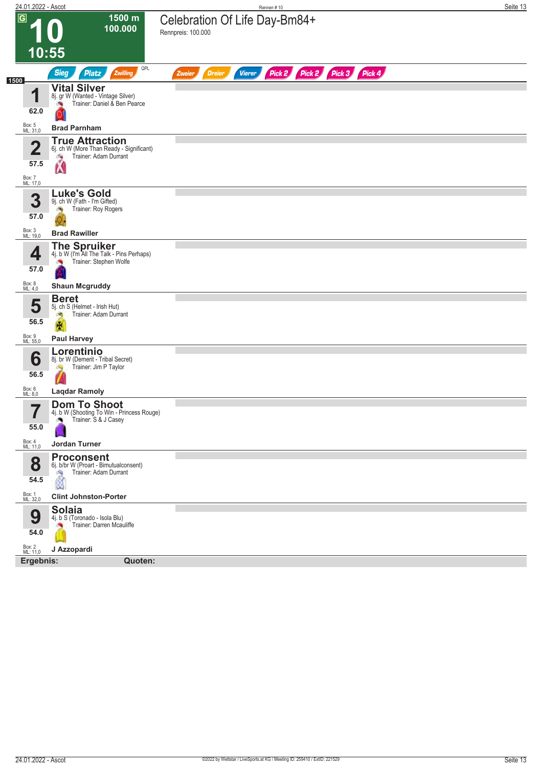| 24.01.2022 - Ascot         |                                                                                                  | Rennen #10                                                                 | Seite 13 |
|----------------------------|--------------------------------------------------------------------------------------------------|----------------------------------------------------------------------------|----------|
| $\overline{\mathsf{G}}$    | 1500 m<br>100.000                                                                                | Celebration Of Life Day-Bm84+<br>Rennpreis: 100.000                        |          |
|                            | 10:55                                                                                            |                                                                            |          |
| 1500                       | QPL<br><b>Sieg</b><br><b>Platz</b><br>Zwilling                                                   | Pick 2<br>Pick 2 Pick 3 Pick 4<br><b>Vierer</b><br><b>Dreier</b><br>Zweier |          |
| 1                          | <b>Vital Silver</b><br>8j. gr W (Wanted - Vintage Silver)<br>Trainer: Daniel & Ben Pearce        |                                                                            |          |
| 62.0                       |                                                                                                  |                                                                            |          |
| Box: 5<br>ML: 31,0         | <b>Brad Parnham</b>                                                                              |                                                                            |          |
| $\mathbf{2}$               | <b>True Attraction</b><br>6j. ch W (More Than Ready - Significant)<br>Trainer: Adam Durrant<br>侮 |                                                                            |          |
| 57.5<br>Box: 7<br>ML: 17,0 | Ń                                                                                                |                                                                            |          |
| 3                          | <b>Luke's Gold</b><br>9j. ch W (Fath - I'm Gifted)                                               |                                                                            |          |
| 57.0                       | Trainer: Roy Rogers<br>ंप                                                                        |                                                                            |          |
| Box: 3<br>ML: 19,0         | <b>Brad Rawiller</b>                                                                             |                                                                            |          |
| 4                          | <b>The Spruiker</b><br>4j. b W (I'm All The Talk - Pins Perhaps)<br>Trainer: Stephen Wolfe       |                                                                            |          |
| 57.0                       |                                                                                                  |                                                                            |          |
| Box: 8<br>ML: 4,0          | <b>Shaun Mcgruddy</b>                                                                            |                                                                            |          |
| 5                          | <b>Beret</b><br>5j. ch S (Helmet - Irish Hut)<br>Trainer: Adam Durrant<br>đ.                     |                                                                            |          |
| 56.5<br>Box: 9<br>ML: 55,0 | R<br><b>Paul Harvey</b>                                                                          |                                                                            |          |
|                            | Lorentinio                                                                                       |                                                                            |          |
| 6<br>56.5                  | 8j. br W (Demerit - Tribal Secret)<br>Trainer: Jim P Taylor                                      |                                                                            |          |
| Box: 6<br>ML: 8,0          | <b>Laqdar Ramoly</b>                                                                             |                                                                            |          |
|                            | <b>Dom To Shoot</b>                                                                              |                                                                            |          |
| 7<br>I<br>55.0             | 4j. b W (Shooting To Win - Princess Rouge)<br>Trainer: S & J Casey<br>÷.                         |                                                                            |          |
| Box: 4<br>ML: 11,0         | Jordan Turner                                                                                    |                                                                            |          |
| 8<br>54.5                  | <b>Proconsent</b><br>6j. b/br W (Proart - Bimutualconsent)<br>Trainer: Adam Durrant<br>û         |                                                                            |          |
| Box: 1<br>ML: 32,0         | <b>Clint Johnston-Porter</b>                                                                     |                                                                            |          |
| 9<br>54.0                  | <b>Solaia</b><br>4j. b S (Toronado - Isola Blu)<br>Trainer: Darren Mcauliffe                     |                                                                            |          |
| Box: 2<br>ML: 11,0         | J Azzopardi                                                                                      |                                                                            |          |